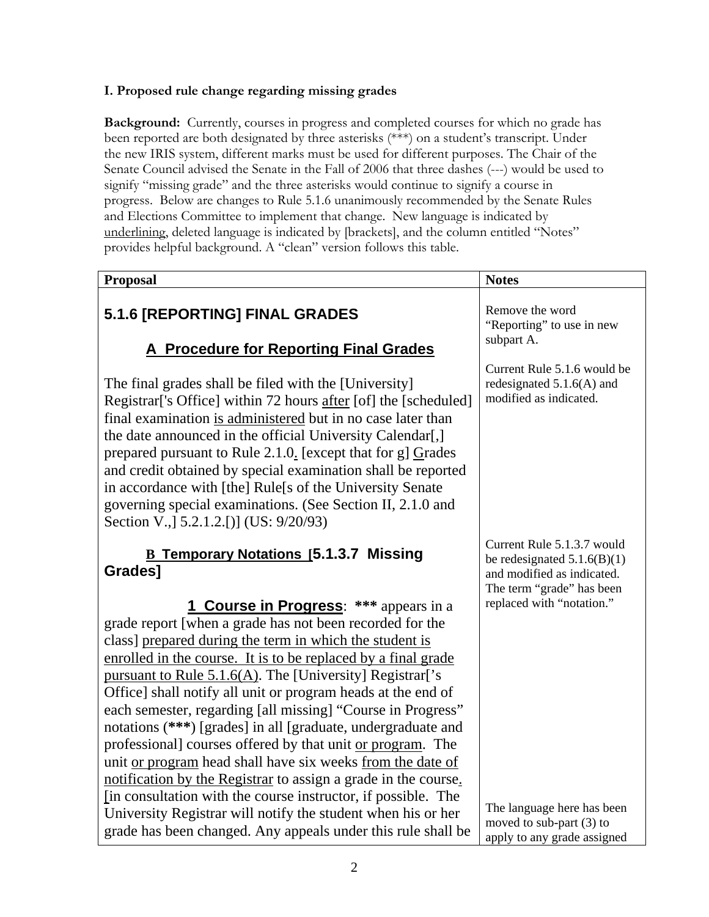## **I. Proposed rule change regarding missing grades**

**Background:** Currently, courses in progress and completed courses for which no grade has been reported are both designated by three asterisks (\*\*\*) on a student's transcript. Under the new IRIS system, different marks must be used for different purposes. The Chair of the Senate Council advised the Senate in the Fall of 2006 that three dashes (---) would be used to signify "missing grade" and the three asterisks would continue to signify a course in progress. Below are changes to Rule 5.1.6 unanimously recommended by the Senate Rules and Elections Committee to implement that change. New language is indicated by underlining, deleted language is indicated by [brackets], and the column entitled "Notes" provides helpful background. A "clean" version follows this table.

| <b>Proposal</b>                                                                                                                                                                                                                                                                                                                                                                                                                                                                                                                                                                                                                                                                                                                                                 | <b>Notes</b>                                                                                                           |
|-----------------------------------------------------------------------------------------------------------------------------------------------------------------------------------------------------------------------------------------------------------------------------------------------------------------------------------------------------------------------------------------------------------------------------------------------------------------------------------------------------------------------------------------------------------------------------------------------------------------------------------------------------------------------------------------------------------------------------------------------------------------|------------------------------------------------------------------------------------------------------------------------|
| 5.1.6 [REPORTING] FINAL GRADES<br><b>A Procedure for Reporting Final Grades</b>                                                                                                                                                                                                                                                                                                                                                                                                                                                                                                                                                                                                                                                                                 | Remove the word<br>"Reporting" to use in new<br>subpart A.                                                             |
| The final grades shall be filed with the [University]<br>Registrar <sup>'</sup> s Office] within 72 hours after [of] the [scheduled]<br>final examination is administered but in no case later than<br>the date announced in the official University Calendar[,]<br>prepared pursuant to Rule 2.1.0. [except that for g] Grades<br>and credit obtained by special examination shall be reported<br>in accordance with [the] Rule[s of the University Senate<br>governing special examinations. (See Section II, 2.1.0 and<br>Section V., [5.2.1.2.[)] (US: 9/20/93)                                                                                                                                                                                             | Current Rule 5.1.6 would be<br>redesignated $5.1.6(A)$ and<br>modified as indicated.                                   |
| <b>B Temporary Notations [5.1.3.7 Missing</b><br><b>Grades1</b>                                                                                                                                                                                                                                                                                                                                                                                                                                                                                                                                                                                                                                                                                                 | Current Rule 5.1.3.7 would<br>be redesignated $5.1.6(B)(1)$<br>and modified as indicated.<br>The term "grade" has been |
| <b>1 Course in Progress:</b> *** appears in a<br>grade report [when a grade has not been recorded for the<br>class] prepared during the term in which the student is<br>enrolled in the course. It is to be replaced by a final grade<br>pursuant to Rule 5.1.6(A). The [University] Registrar['s<br>Office] shall notify all unit or program heads at the end of<br>each semester, regarding [all missing] "Course in Progress"<br>notations (***) [grades] in all [graduate, undergraduate and<br>professional] courses offered by that unit or program. The<br>unit or program head shall have six weeks from the date of<br>notification by the Registrar to assign a grade in the course.<br>[in consultation with the course instructor, if possible. The | replaced with "notation."<br>The language here has been                                                                |
| University Registrar will notify the student when his or her<br>grade has been changed. Any appeals under this rule shall be                                                                                                                                                                                                                                                                                                                                                                                                                                                                                                                                                                                                                                    | moved to sub-part (3) to<br>apply to any grade assigned                                                                |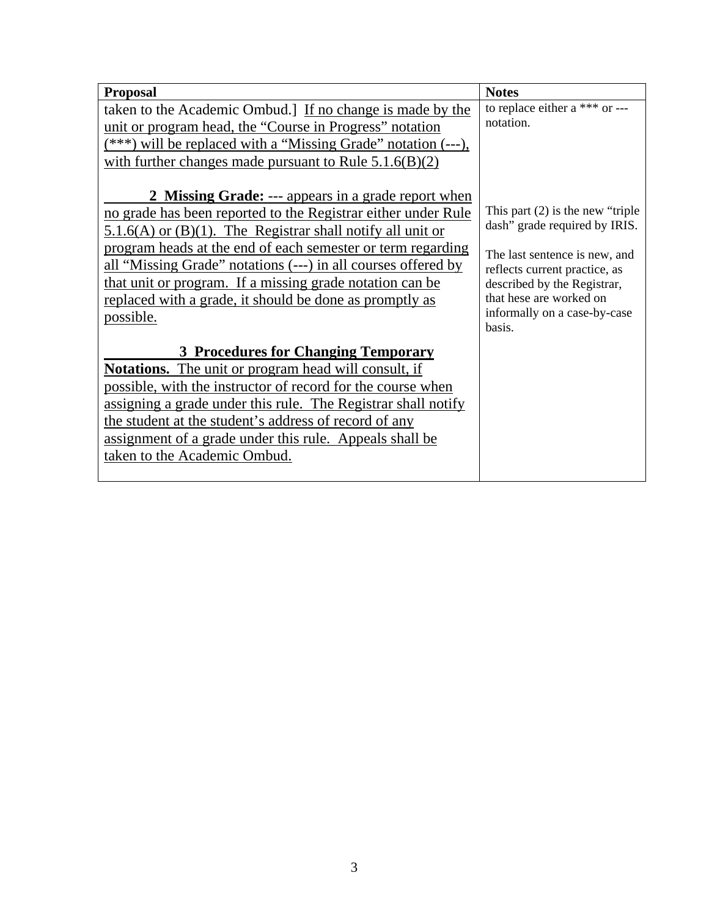| <b>Proposal</b>                                                                                                                                                                                                                                                                                                                                                                                                                                                    | <b>Notes</b>                                                                                                                                                                                                                               |
|--------------------------------------------------------------------------------------------------------------------------------------------------------------------------------------------------------------------------------------------------------------------------------------------------------------------------------------------------------------------------------------------------------------------------------------------------------------------|--------------------------------------------------------------------------------------------------------------------------------------------------------------------------------------------------------------------------------------------|
| taken to the Academic Ombud.] If no change is made by the<br>unit or program head, the "Course in Progress" notation<br>$(***)$ will be replaced with a "Missing Grade" notation $(--)$ ,<br>with further changes made pursuant to Rule $5.1.6(B)(2)$                                                                                                                                                                                                              | to replace either a $***$ or ---<br>notation.                                                                                                                                                                                              |
| 2 Missing Grade: --- appears in a grade report when<br>no grade has been reported to the Registrar either under Rule<br>$5.1.6(A)$ or $(B)(1)$ . The Registrar shall notify all unit or<br>program heads at the end of each semester or term regarding<br>all "Missing Grade" notations (---) in all courses offered by<br>that unit or program. If a missing grade notation can be<br>replaced with a grade, it should be done as promptly as<br><u>possible.</u> | This part $(2)$ is the new "triple"<br>dash" grade required by IRIS.<br>The last sentence is new, and<br>reflects current practice, as<br>described by the Registrar,<br>that hese are worked on<br>informally on a case-by-case<br>basis. |
| <b>3 Procedures for Changing Temporary</b>                                                                                                                                                                                                                                                                                                                                                                                                                         |                                                                                                                                                                                                                                            |
| <b>Notations.</b> The unit or program head will consult, if<br>possible, with the instructor of record for the course when<br>assigning a grade under this rule. The Registrar shall notify<br>the student at the student's address of record of any<br>assignment of a grade under this rule. Appeals shall be<br>taken to the Academic Ombud.                                                                                                                    |                                                                                                                                                                                                                                            |